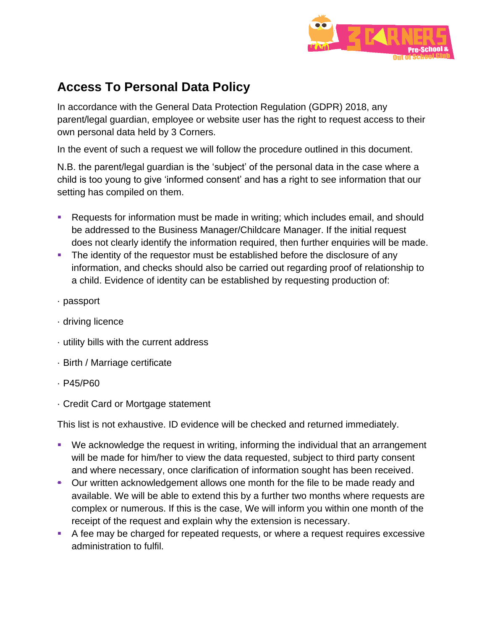

## **Access To Personal Data Policy**

In accordance with the General Data Protection Regulation (GDPR) 2018, any parent/legal guardian, employee or website user has the right to request access to their own personal data held by 3 Corners.

In the event of such a request we will follow the procedure outlined in this document.

N.B. the parent/legal guardian is the 'subject' of the personal data in the case where a child is too young to give 'informed consent' and has a right to see information that our setting has compiled on them.

- Requests for information must be made in writing; which includes email, and should be addressed to the Business Manager/Childcare Manager. If the initial request does not clearly identify the information required, then further enquiries will be made.
- **•** The identity of the requestor must be established before the disclosure of any information, and checks should also be carried out regarding proof of relationship to a child. Evidence of identity can be established by requesting production of:
- · passport
- · driving licence
- · utility bills with the current address
- · Birth / Marriage certificate
- · P45/P60
- · Credit Card or Mortgage statement

This list is not exhaustive. ID evidence will be checked and returned immediately.

- We acknowledge the request in writing, informing the individual that an arrangement will be made for him/her to view the data requested, subject to third party consent and where necessary, once clarification of information sought has been received.
- Our written acknowledgement allows one month for the file to be made ready and available. We will be able to extend this by a further two months where requests are complex or numerous. If this is the case, We will inform you within one month of the receipt of the request and explain why the extension is necessary.
- A fee may be charged for repeated requests, or where a request requires excessive administration to fulfil.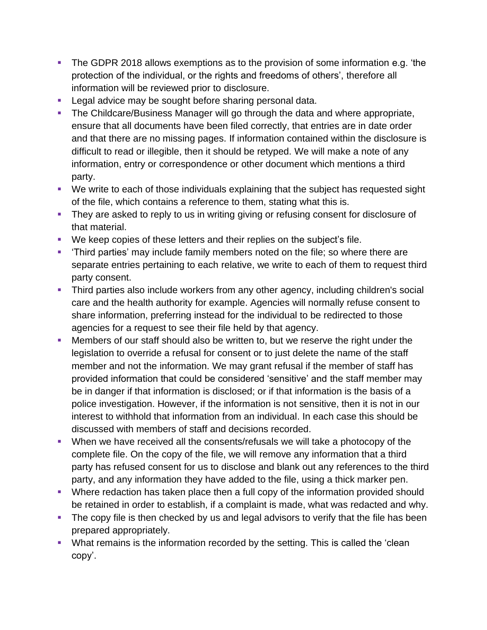- The GDPR 2018 allows exemptions as to the provision of some information e.g. 'the protection of the individual, or the rights and freedoms of others', therefore all information will be reviewed prior to disclosure.
- Legal advice may be sought before sharing personal data.
- **The Childcare/Business Manager will go through the data and where appropriate,** ensure that all documents have been filed correctly, that entries are in date order and that there are no missing pages. If information contained within the disclosure is difficult to read or illegible, then it should be retyped. We will make a note of any information, entry or correspondence or other document which mentions a third party.
- We write to each of those individuals explaining that the subject has requested sight of the file, which contains a reference to them, stating what this is.
- **They are asked to reply to us in writing giving or refusing consent for disclosure of** that material.
- We keep copies of these letters and their replies on the subject's file.
- 'Third parties' may include family members noted on the file; so where there are separate entries pertaining to each relative, we write to each of them to request third party consent.
- **•** Third parties also include workers from any other agency, including children's social care and the health authority for example. Agencies will normally refuse consent to share information, preferring instead for the individual to be redirected to those agencies for a request to see their file held by that agency.
- **Members of our staff should also be written to, but we reserve the right under the** legislation to override a refusal for consent or to just delete the name of the staff member and not the information. We may grant refusal if the member of staff has provided information that could be considered 'sensitive' and the staff member may be in danger if that information is disclosed; or if that information is the basis of a police investigation. However, if the information is not sensitive, then it is not in our interest to withhold that information from an individual. In each case this should be discussed with members of staff and decisions recorded.
- When we have received all the consents/refusals we will take a photocopy of the complete file. On the copy of the file, we will remove any information that a third party has refused consent for us to disclose and blank out any references to the third party, and any information they have added to the file, using a thick marker pen.
- Where redaction has taken place then a full copy of the information provided should be retained in order to establish, if a complaint is made, what was redacted and why.
- **•** The copy file is then checked by us and legal advisors to verify that the file has been prepared appropriately.
- What remains is the information recorded by the setting. This is called the 'clean copy'.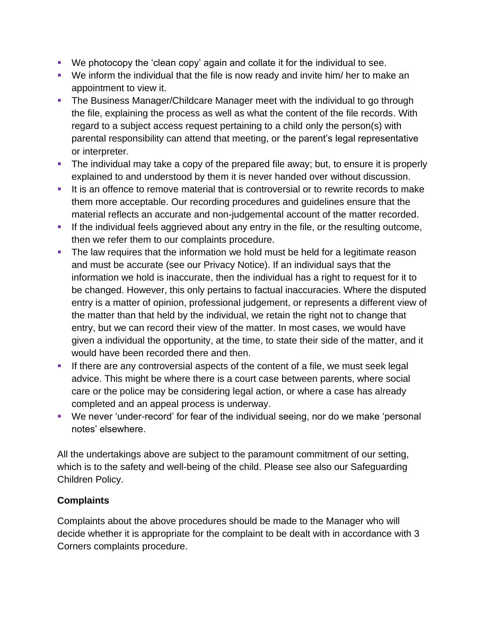- We photocopy the 'clean copy' again and collate it for the individual to see.
- We inform the individual that the file is now ready and invite him/ her to make an appointment to view it.
- **The Business Manager/Childcare Manager meet with the individual to go through** the file, explaining the process as well as what the content of the file records. With regard to a subject access request pertaining to a child only the person(s) with parental responsibility can attend that meeting, or the parent's legal representative or interpreter.
- **•** The individual may take a copy of the prepared file away; but, to ensure it is properly explained to and understood by them it is never handed over without discussion.
- It is an offence to remove material that is controversial or to rewrite records to make them more acceptable. Our recording procedures and guidelines ensure that the material reflects an accurate and non-judgemental account of the matter recorded.
- **.** If the individual feels aggrieved about any entry in the file, or the resulting outcome, then we refer them to our complaints procedure.
- **•** The law requires that the information we hold must be held for a legitimate reason and must be accurate (see our Privacy Notice). If an individual says that the information we hold is inaccurate, then the individual has a right to request for it to be changed. However, this only pertains to factual inaccuracies. Where the disputed entry is a matter of opinion, professional judgement, or represents a different view of the matter than that held by the individual, we retain the right not to change that entry, but we can record their view of the matter. In most cases, we would have given a individual the opportunity, at the time, to state their side of the matter, and it would have been recorded there and then.
- **EXT** If there are any controversial aspects of the content of a file, we must seek legal advice. This might be where there is a court case between parents, where social care or the police may be considering legal action, or where a case has already completed and an appeal process is underway.
- We never 'under-record' for fear of the individual seeing, nor do we make 'personal notes' elsewhere.

All the undertakings above are subject to the paramount commitment of our setting, which is to the safety and well-being of the child. Please see also our Safeguarding Children Policy.

## **Complaints**

Complaints about the above procedures should be made to the Manager who will decide whether it is appropriate for the complaint to be dealt with in accordance with 3 Corners complaints procedure.